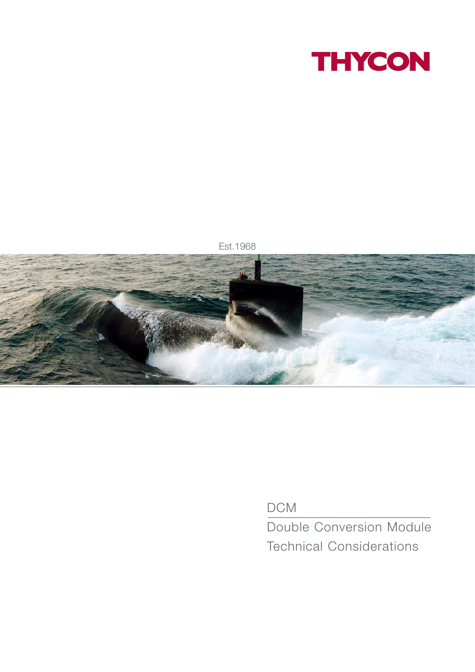



DCM

Double Conversion Module Technical Considerations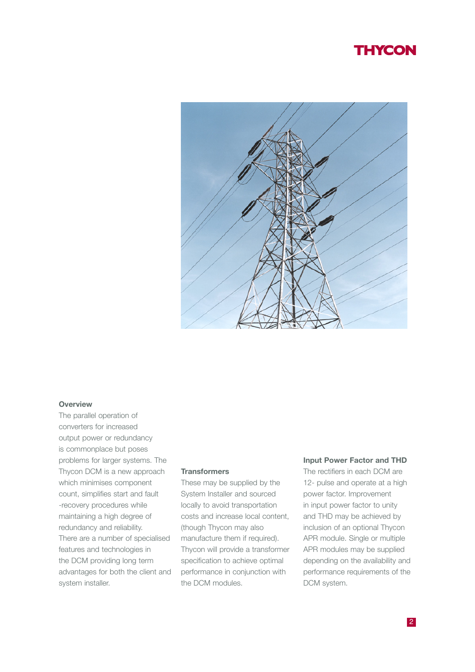

#### **Overview**

The parallel operation of converters for increased output power or redundancy is commonplace but poses problems for larger systems. The Thycon DCM is a new approach which minimises component count, simplifies start and fault -recovery procedures while maintaining a high degree of redundancy and reliability. There are a number of specialised features and technologies in the DCM providing long term advantages for both the client and system installer.

#### **Transformers**

These may be supplied by the System Installer and sourced locally to avoid transportation costs and increase local content, (though Thycon may also manufacture them if required). Thycon will provide a transformer specification to achieve optimal performance in conjunction with the DCM modules.

#### **Input Power Factor and THD**

The rectifiers in each DCM are 12- pulse and operate at a high power factor. Improvement in input power factor to unity and THD may be achieved by inclusion of an optional Thycon APR module. Single or multiple APR modules may be supplied depending on the availability and performance requirements of the DCM system.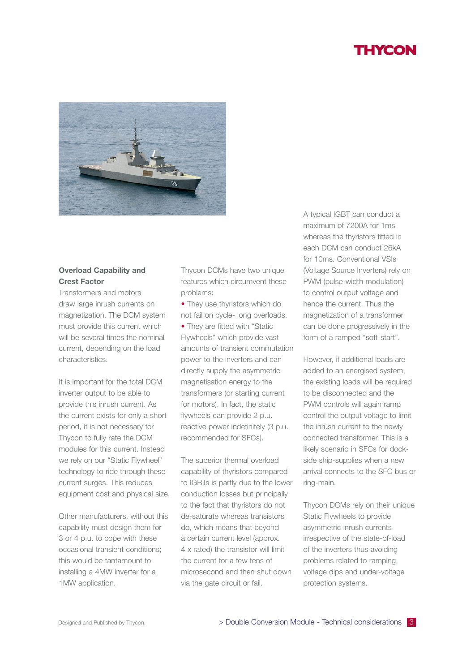

### **Overload Capability and Crest Factor**

Transformers and motors draw large inrush currents on magnetization. The DCM system must provide this current which will be several times the nominal current, depending on the load characteristics.

It is important for the total DCM inverter output to be able to provide this inrush current. As the current exists for only a short period, it is not necessary for Thycon to fully rate the DCM modules for this current. Instead we rely on our "Static Flywheel" technology to ride through these current surges. This reduces equipment cost and physical size.

Other manufacturers, without this capability must design them for 3 or 4 p.u. to cope with these occasional transient conditions; this would be tantamount to installing a 4MW inverter for a 1MW application.

Thycon DCMs have two unique features which circumvent these problems:

• They use thyristors which do not fail on cycle- long overloads.

• They are fitted with "Static Flywheels" which provide vast amounts of transient commutation power to the inverters and can directly supply the asymmetric magnetisation energy to the transformers (or starting current for motors). In fact, the static flywheels can provide 2 p.u. reactive power indefinitely (3 p.u. recommended for SFCs).

The superior thermal overload capability of thyristors compared to IGBTs is partly due to the lower conduction losses but principally to the fact that thyristors do not de-saturate whereas transistors do, which means that beyond a certain current level (approx. 4 x rated) the transistor will limit the current for a few tens of microsecond and then shut down via the gate circuit or fail.

A typical IGBT can conduct a maximum of 7200A for 1ms whereas the thyristors fitted in each DCM can conduct 26kA for 10ms. Conventional VSIs (Voltage Source Inverters) rely on PWM (pulse-width modulation) to control output voltage and hence the current. Thus the magnetization of a transformer can be done progressively in the form of a ramped "soft-start".

However, if additional loads are added to an energised system, the existing loads will be required to be disconnected and the PWM controls will again ramp control the output voltage to limit the inrush current to the newly connected transformer. This is a likely scenario in SFCs for dockside ship-supplies when a new arrival connects to the SFC bus or ring-main.

Thycon DCMs rely on their unique Static Flywheels to provide asymmetric inrush currents irrespective of the state-of-load of the inverters thus avoiding problems related to ramping, voltage dips and under-voltage protection systems.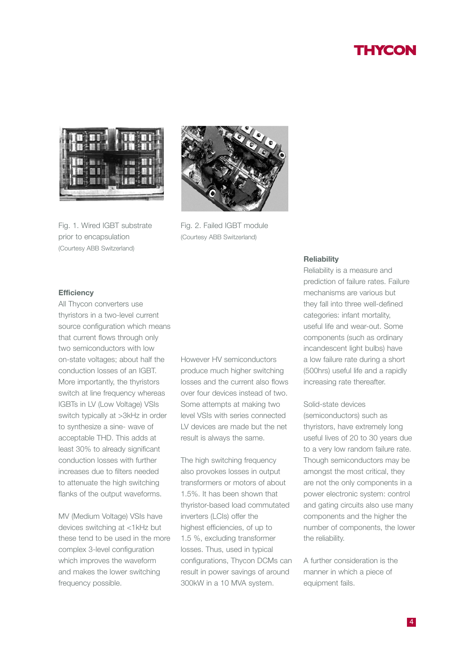

Fig. 1. Wired IGBT substrate prior to encapsulation (Courtesy ABB Switzerland)



Fig. 2. Failed IGBT module (Courtesy ABB Switzerland)

### **Efficiency**

All Thycon converters use thyristors in a two-level current source configuration which means that current flows through only two semiconductors with low on-state voltages; about half the conduction losses of an IGBT. More importantly, the thyristors switch at line frequency whereas IGBTs in LV (Low Voltage) VSIs switch typically at >3kHz in order to synthesize a sine- wave of acceptable THD. This adds at least 30% to already significant conduction losses with further increases due to filters needed to attenuate the high switching flanks of the output waveforms.

MV (Medium Voltage) VSIs have devices switching at <1kHz but these tend to be used in the more complex 3-level configuration which improves the waveform and makes the lower switching frequency possible.

However HV semiconductors produce much higher switching losses and the current also flows over four devices instead of two. Some attempts at making two level VSIs with series connected LV devices are made but the net result is always the same.

The high switching frequency also provokes losses in output transformers or motors of about 1.5%. It has been shown that thyristor-based load commutated inverters (LCIs) offer the highest efficiencies, of up to 1.5 %, excluding transformer losses. Thus, used in typical configurations, Thycon DCMs can result in power savings of around 300kW in a 10 MVA system.

#### **Reliability**

Reliability is a measure and prediction of failure rates. Failure mechanisms are various but they fall into three well-defined categories: infant mortality, useful life and wear-out. Some components (such as ordinary incandescent light bulbs) have a low failure rate during a short (500hrs) useful life and a rapidly increasing rate thereafter.

### Solid-state devices

(semiconductors) such as thyristors, have extremely long useful lives of 20 to 30 years due to a very low random failure rate. Though semiconductors may be amongst the most critical, they are not the only components in a power electronic system: control and gating circuits also use many components and the higher the number of components, the lower the reliability.

A further consideration is the manner in which a piece of equipment fails.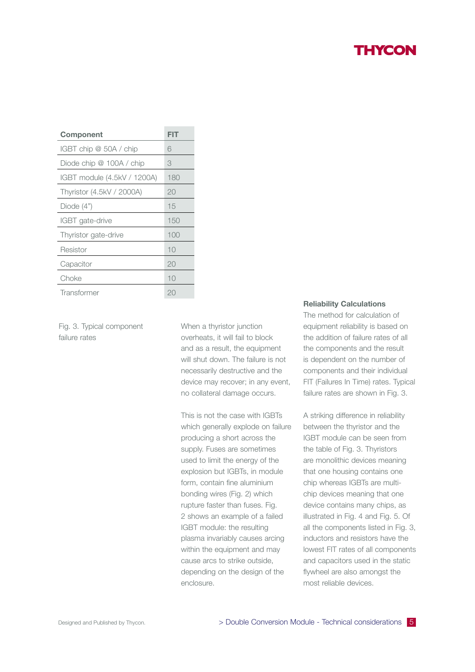| Component                   | FIT |
|-----------------------------|-----|
| IGBT chip @ 50A / chip      | 6   |
| Diode chip @ 100A / chip    | 3   |
| IGBT module (4.5kV / 1200A) | 180 |
| Thyristor (4.5kV / 2000A)   | 20  |
| Diode $(4")$                | 15  |
| IGBT gate-drive             | 150 |
| Thyristor gate-drive        | 100 |
| Resistor                    | 10  |
| Capacitor                   | 20  |
| Choke                       | 10  |
| Transformer                 | 20  |

Fig. 3. Typical component failure rates

When a thyristor junction overheats, it will fail to block and as a result, the equipment will shut down. The failure is not necessarily destructive and the device may recover; in any event, no collateral damage occurs.

This is not the case with IGBTs which generally explode on failure producing a short across the supply. Fuses are sometimes used to limit the energy of the explosion but IGBTs, in module form, contain fine aluminium bonding wires (Fig. 2) which rupture faster than fuses. Fig. 2 shows an example of a failed IGBT module: the resulting plasma invariably causes arcing within the equipment and may cause arcs to strike outside, depending on the design of the enclosure.

#### **Reliability Calculations**

The method for calculation of equipment reliability is based on the addition of failure rates of all the components and the result is dependent on the number of components and their individual FIT (Failures In Time) rates. Typical failure rates are shown in Fig. 3.

A striking difference in reliability between the thyristor and the IGBT module can be seen from the table of Fig. 3. Thyristors are monolithic devices meaning that one housing contains one chip whereas IGBTs are multichip devices meaning that one device contains many chips, as illustrated in Fig. 4 and Fig. 5. Of all the components listed in Fig. 3, inductors and resistors have the lowest FIT rates of all components and capacitors used in the static flywheel are also amongst the most reliable devices.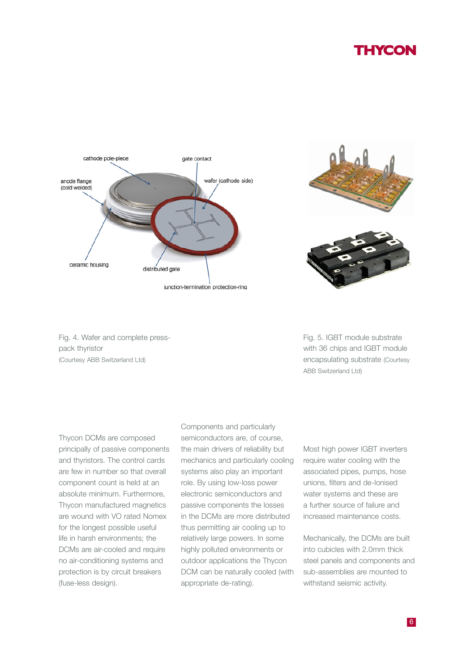

junction-termination protection-ring



Fig. 4. Wafer and complete presspack thyristor (Courtesy ABB Switzerland Ltd)

Fig. 5. IGBT module substrate with 36 chips and IGBT module encapsulating substrate (Courtesy ABB Switzerland Ltd)

Thycon DCMs are composed principally of passive components and thyristors. The control cards are few in number so that overall component count is held at an absolute minimum. Furthermore, Thycon manufactured magnetics are wound with VO rated Nomex for the longest possible useful life in harsh environments; the DCMs are air-cooled and require no air-conditioning systems and protection is by circuit breakers (fuse-less design).

Components and particularly semiconductors are, of course, the main drivers of reliability but mechanics and particularly cooling systems also play an important role. By using low-loss power electronic semiconductors and passive components the losses in the DCMs are more distributed thus permitting air cooling up to relatively large powers. In some highly polluted environments or outdoor applications the Thycon DCM can be naturally cooled (with appropriate de-rating).

Most high power IGBT inverters require water cooling with the associated pipes, pumps, hose unions, filters and de-Ionised water systems and these are a further source of failure and increased maintenance costs.

Mechanically, the DCMs are built into cubicles with 2.0mm thick steel panels and components and sub-assemblies are mounted to withstand seismic activity.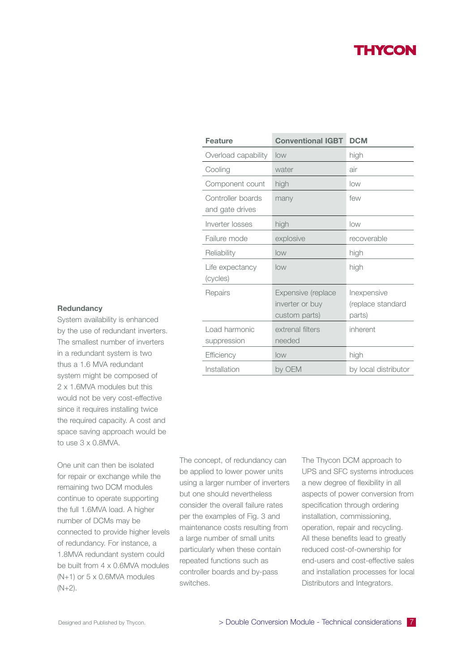| <b>Feature</b>                       | <b>Conventional IGBT</b>                               | <b>DCM</b>                                 |
|--------------------------------------|--------------------------------------------------------|--------------------------------------------|
| Overload capability                  | low                                                    | high                                       |
| Cooling                              | water                                                  | air                                        |
| Component count                      | high                                                   | low                                        |
| Controller boards<br>and gate drives | many                                                   | few                                        |
| Inverter losses                      | high                                                   | low                                        |
| Failure mode                         | explosive                                              | recoverable                                |
| Reliability                          | low                                                    | high                                       |
| Life expectancy<br>(cycles)          | low                                                    | high                                       |
| Repairs                              | Expensive (replace<br>inverter or buy<br>custom parts) | Inexpensive<br>(replace standard<br>parts) |
| Load harmonic<br>suppression         | extrenal filters<br>needed                             | inherent                                   |
| Efficiency                           | low                                                    | high                                       |
| Installation                         | by OEM                                                 | by local distributor                       |

#### **Redundancy**

System availability is enhanced by the use of redundant inverters. The smallest number of inverters in a redundant system is two thus a 1.6 MVA redundant system might be composed of 2 x 1.6MVA modules but this would not be very cost-effective since it requires installing twice the required capacity. A cost and space saving approach would be to use 3 x 0.8MVA.

One unit can then be isolated for repair or exchange while the remaining two DCM modules continue to operate supporting the full 1.6MVA load. A higher number of DCMs may be connected to provide higher levels of redundancy. For instance, a 1.8MVA redundant system could be built from 4 x 0.6MVA modules (N+1) or 5 x 0.6MVA modules  $(N+2)$ .

The concept, of redundancy can be applied to lower power units using a larger number of inverters but one should nevertheless consider the overall failure rates per the examples of Fig. 3 and maintenance costs resulting from a large number of small units particularly when these contain repeated functions such as controller boards and by-pass switches.

The Thycon DCM approach to UPS and SFC systems introduces a new degree of flexibility in all aspects of power conversion from specification through ordering installation, commissioning, operation, repair and recycling. All these benefits lead to greatly reduced cost-of-ownership for end-users and cost-effective sales and installation processes for local Distributors and Integrators.